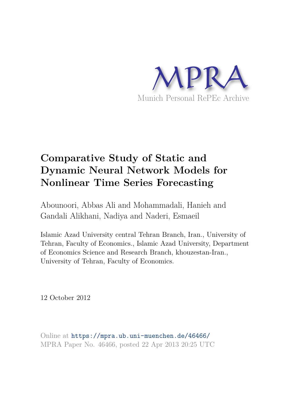

# **Comparative Study of Static and Dynamic Neural Network Models for Nonlinear Time Series Forecasting**

Abounoori, Abbas Ali and Mohammadali, Hanieh and Gandali Alikhani, Nadiya and Naderi, Esmaeil

Islamic Azad University central Tehran Branch, Iran., University of Tehran, Faculty of Economics., Islamic Azad University, Department of Economics Science and Research Branch, khouzestan-Iran., University of Tehran, Faculty of Economics.

12 October 2012

Online at https://mpra.ub.uni-muenchen.de/46466/ MPRA Paper No. 46466, posted 22 Apr 2013 20:25 UTC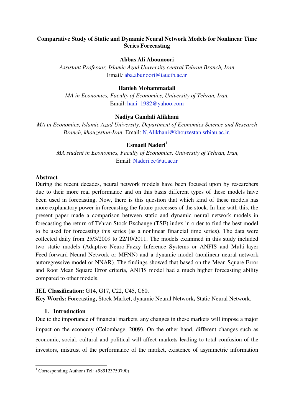## **[Comparative Study o](http://maxwellsci.com/print/rjaset/v4-4397-4403.pdf)f Static and Dynamic Neural Network Models for Nonlinear Time Series Forecasting**

## **Abbas Ali Abounoori**

*Assistant Professor, Islamic Azad University central Tehran Branch, Iran*  Email*:* [aba.abunoori@iauctb.ac.ir](mailto:aba.abunoori@iauctb.ac.ir)

## **Hanieh Mohammadali**

*MA in Economics, Faculty of Economics, University of Tehran, Iran,* Email: [hani\\_1982@yahoo.com](mailto:hani_1982@yahoo.com)

## **Nadiya Gandali Alikhani**

*MA in Economics, Islamic Azad University, Department of Economics Science and Research Branch, khouzestan-Iran.* Email: [N.Alikhani@khouzestan.srbiau.ac.ir.](mailto:N.Alikhani@khouzestan.srbiau.ac.ir)

# **Esmaeil Naderi**<sup>1</sup>

 *MA student in Economics, Faculty of Economics, University of Tehran, Iran,* Email: [Naderi.ec@ut.ac.ir](mailto:Naderi.ec@ut.ac.ir)

## **Abstract**

During the recent decades, neural network models have been focused upon by researchers due to their more real performance and on this basis different types of these models have been used in forecasting. Now, there is this question that which kind of these models has more explanatory power in forecasting the future processes of the stock. In line with this, the present paper made a comparison between static and dynamic neural network models in forecasting the return of Tehran Stock Exchange (TSE) index in order to find the best model to be used for forecasting this series (as a nonlinear financial time series). The data were collected daily from 25/3/2009 to 22/10/2011. The models examined in this study included two static models (Adaptive Neuro-Fuzzy Inference Systems or ANFIS and Multi-layer Feed-forward Neural Network or MFNN) and a dynamic model (nonlinear neural network autoregressive model or NNAR). The findings showed that based on the Mean Square Error and Root Mean Square Error criteria, ANFIS model had a much higher forecasting ability compared to other models.

#### **JEL Classification:** G14, G17, C22, C45, C60.

**Key Words:** Forecasting**,** Stock Market, dynamic Neural Network**,** Static Neural Network.

## **1. Introduction**

 $\overline{a}$ 

Due to the importance of financial markets, any changes in these markets will impose a major impact on the economy (Colombage, 2009). On the other hand, different changes such as economic, social, cultural and political will affect markets leading to total confusion of the investors, mistrust of the performance of the market, existence of asymmetric information

<sup>&</sup>lt;sup>1</sup> Corresponding Author (Tel: +989123750790)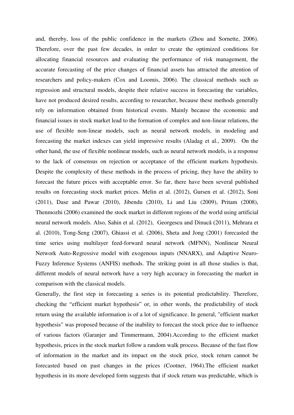and, thereby, loss of the public confidence in the markets (Zhou and Sornette, 2006). Therefore, over the past few decades, in order to create the optimized conditions for allocating financial resources and evaluating the performance of risk management, the accurate forecasting of the price changes of financial assets has attracted the attention of researchers and policy-makers (Cox and Loomis, 2006). The classical methods such as regression and structural models, despite their relative success in forecasting the variables, have not produced desired results, according to researcher, because these methods generally rely on information obtained from historical events. Mainly because the economic and financial issues in stock market lead to the formation of complex and non-linear relations, the use of flexible non-linear models, such as neural network models, in modeling and forecasting the market indexes can yield impressive results (Aladag et al., 2009). On the other hand, the use of flexible nonlinear models, such as neural network models, is a response to the lack of consensus on rejection or acceptance of the efficient markets hypothesis. Despite the complexity of these methods in the process of pricing, they have the ability to forecast the future prices with acceptable error. So far, there have been several published results on forecasting stock market prices. Melin et al. (2012), Gursen et al. (2012), Soni (2011), Dase and Pawar (2010), Jibendu (2010), Li and Liu (2009), Pritam (2008), Thenmozhi (2006) examined the stock market in different regions of the world using artificial neural network models. Also, Sahin et al. (2012), Georgescu and Dinucă (2011), Mehrara et al. (2010), Tong-Seng (2007), Ghiassi et al. (2006), Sheta and Jong (2001) forecasted the time series using multilayer feed-forward neural network (MFNN), Nonlinear Neural Network Auto-Regressive model with exogenous inputs (NNARX), and Adaptive Neuro-Fuzzy Inference Systems (ANFIS) methods. The striking point in all those studies is that, different models of neural network have a very high accuracy in forecasting the market in comparison with the classical models.

Generally, the first step in forecasting a series is its potential predictability. Therefore, checking the "efficient market hypothesis" or, in other words, the predictability of stock return using the available information is of a lot of significance. In general, "efficient market hypothesis" was proposed because of the inability to forecast the stock price due to influence of various factors (Garanjer and Timmermann, 2004).According to the efficient market hypothesis, prices in the stock market follow a random walk process. Because of the fast flow of information in the market and its impact on the stock price, stock return cannot be forecasted based on past changes in the prices (Cootner, 1964).The efficient market hypothesis in its more developed form suggests that if stock return was predictable, which is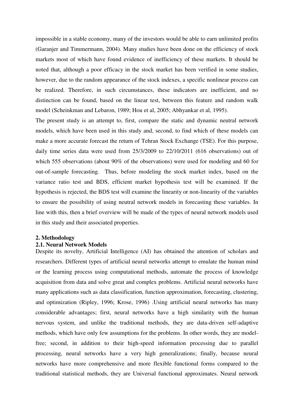impossible in a stable economy, many of the investors would be able to earn unlimited profits (Garanjer and Timmermann, 2004). Many studies have been done on the efficiency of stock markets most of which have found evidence of inefficiency of these markets. It should be noted that, although a poor efficacy in the stock market has been verified in some studies, however, due to the random appearance of the stock indexes, a specific nonlinear process can be realized. Therefore, in such circumstances, these indicators are inefficient, and no distinction can be found, based on the linear test, between this feature and random walk model (Scheinkman and Lebaron, 1989; Hou et al, 2005; Abhyankar et al, 1995).

The present study is an attempt to, first, compare the static and dynamic neutral network models, which have been used in this study and, second, to find which of these models can make a more accurate forecast the return of Tehran Stock Exchange (TSE). For this purpose, daily time series data were used from 25/3/2009 to 22/10/2011 (616 observations) out of which 555 observations (about 90% of the observations) were used for modeling and 60 for out-of-sample forecasting. Thus, before modeling the stock market index, based on the variance ratio test and BDS, efficient market hypothesis test will be examined. If the hypothesis is rejected, the BDS test will examine the linearity or non-linearity of the variables to ensure the possibility of using neutral network models in forecasting these variables. In line with this, then a brief overview will be made of the types of neural network models used in this study and their associated properties.

## **2. Methodology**

#### **2.1. Neural Network Models**

Despite its novelty, Artificial Intelligence (AI) has obtained the attention of scholars and researchers. Different types of artificial neural networks attempt to emulate the human mind or the learning process using computational methods, automate the process of knowledge acquisition from data and solve great and complex problems. Artificial neural networks have many applications such as data classification, function approximation, forecasting, clustering, and optimization (Ripley, 1996; Krose, 1996) .Using artificial neural networks has many considerable advantages; first, neural networks have a high similarity with the human nervous system, and unlike the traditional methods, they are data-driven self-adaptive methods, which have only few assumptions for the problems. In other words, they are modelfree; second, in addition to their high-speed information processing due to parallel processing, neural networks have a very high generalizations; finally, because neural networks have more comprehensive and more flexible functional forms compared to the traditional statistical methods, they are Universal functional approximates. Neural network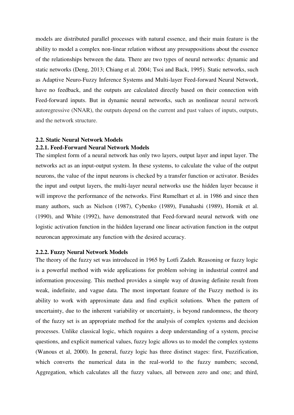models are distributed parallel processes with natural essence, and their main feature is the ability to model a complex non-linear relation without any presuppositions about the essence of the relationships between the data. There are two types of neural networks: dynamic and static networks (Deng, 2013; Chiang et al. 2004; Tsoi and Back, 1995). Static networks, such as Adaptive Neuro-Fuzzy Inference Systems and Multi-layer Feed-forward Neural Network, have no feedback, and the outputs are calculated directly based on their connection with Feed-forward inputs. But in dynamic neural networks, such as nonlinear neural network autoregressive (NNAR), the outputs depend on the current and past values of inputs, outputs, and the network structure.

#### **2.2. Static Neural Network Models**

## **2.2.1. Feed-Forward Neural Network Models**

The simplest form of a neural network has only two layers, output layer and input layer. The networks act as an input-output system. In these systems, to calculate the value of the output neurons, the value of the input neurons is checked by a transfer function or activator. Besides the input and output layers, the multi-layer neural networks use the hidden layer because it will improve the performance of the networks. First Rumelhart et al. in 1986 and since then many authors, such as Nielson (1987), Cybenko (1989), Funahashi (1989), Hornik et al. (1990), and White (1992), have demonstrated that Feed-forward neural network with one logistic activation function in the hidden layerand one linear activation function in the output neuroncan approximate any function with the desired accuracy.

## **2.2.2. Fuzzy Neural Network Models**

The theory of the fuzzy set was introduced in 1965 by Lotfi Zadeh. Reasoning or fuzzy logic is a powerful method with wide applications for problem solving in industrial control and information processing. This method provides a simple way of drawing definite result from weak, indefinite, and vague data. The most important feature of the Fuzzy method is its ability to work with approximate data and find explicit solutions. When the pattern of uncertainty, due to the inherent variability or uncertainty, is beyond randomness, the theory of the fuzzy set is an appropriate method for the analysis of complex systems and decision processes. Unlike classical logic, which requires a deep understanding of a system, precise questions, and explicit numerical values, fuzzy logic allows us to model the complex systems (Wanous et al, 2000). In general, fuzzy logic has three distinct stages: first, Fuzzification, which converts the numerical data in the real-world to the fuzzy numbers; second, Aggregation, which calculates all the fuzzy values, all between zero and one; and third,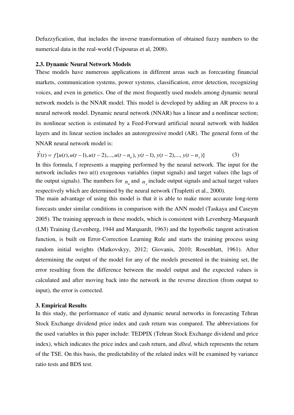Defuzzyfication, that includes the inverse transformation of obtained fuzzy numbers to the numerical data in the real-world [\(Tsipouras](http://www.researchgate.net/researcher/34877328_MG_Tsipouras/) et al, 2008).

#### **2.3. Dynamic Neural Network Models**

These models have numerous applications in different areas such as forecasting financial markets, communication systems, power systems, classification, error detection, recognizing voices, and even in genetics. One of the most frequently used models among dynamic neural network models is the NNAR model. This model is developed by adding an AR process to a neural network model. Dynamic neural network (NNAR) has a linear and a nonlinear section; its nonlinear section is estimated by a Feed-Forward artificial neural network with hidden layers and its linear section includes an autoregressive model (AR). The general form of the NNAR neural network model is:

$$
\hat{Y}(t) = f[u(t), u(t-1), u(t-2), ..., u(t-n_u), y(t-1), y(t-2), ..., y(t-n_y)]
$$
\n(3)

In this formula, f represents a mapping performed by the neural network. The input for the network includes two u(t) exogenous variables (input signals) and target values (the lags of the output signals). The numbers for  $n<sub>u</sub>$  and  $n<sub>y</sub>$  include output signals and actual target values respectively which are determined by the neural network (Trapletti et al., 2000).

The main advantage of using this model is that it is able to make more accurate long-term forecasts under similar conditions in comparison with the ANN model (Taskaya and Caseym 2005). The training approach in these models, which is consistent with Levenberg-Marquardt (LM) Training (Levenberg, 1944 and Marquardt, 1963) and the hyperbolic tangent activation function, is built on Error-Correction Learning Rule and starts the training process using random initial weights (Matkovskyy, 2012; Giovanis, 2010; Rosenblatt, 1961). After determining the output of the model for any of the models presented in the training set, the error resulting from the difference between the model output and the expected values is calculated and after moving back into the network in the reverse direction (from output to input), the error is corrected.

#### **3. Empirical Results**

In this study, the performance of static and dynamic neural networks in forecasting Tehran Stock Exchange dividend price index and cash return was compared. The abbreviations for the used variables in this paper include: TEDPIX (Tehran Stock Exchange dividend and price index), which indicates the price index and cash return, and *dlted*, which represents the return of the TSE. On this basis, the predictability of the related index will be examined by variance ratio tests and BDS test.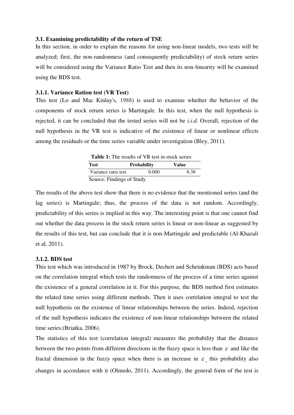## **3.1. Examining predictability of the return of TSE**

In this section, in order to explain the reasons for using non-linear models, two tests will be analyzed; first, the non-randomness (and consequently predictability) of stock return series will be considered using the Variance Ratio Test and then its non-linearity will be examined using the BDS test.

## **3.1.1. Variance Ration test (VR Test)**

This test (Lo and Mac Kinlay's, 1988) is used to examine whether the behavior of the components of stock return series is Martingale. In this test, when the null hypothesis is rejected, it can be concluded that the tested series will not be *i.i.d*. Overall, rejection of the null hypothesis in the VR test is indicative of the existence of linear or nonlinear effects among the residuals or the time series variable under investigation (Bley, 2011).

**Table 1:** The results of VR test in stock series Test **Probability** Value Variance ratio test 0.000 6.38 Source: Findings of Study

The results of the above test show that there is no evidence that the mentioned series (and the lag series) is Martingale; thus, the process of the data is not random. Accordingly, predictability of this series is implied in this way. The interesting point is that one cannot find out whether the data process in the stock return series is linear or non-linear as suggested by the results of this test, but can conclude that it is non-Martingale and predictable (Al-Khazali et al, 2011).

## **3.1.2. BDS test**

This test which was introduced in 1987 by Brock, Dechert and Scheinkman (BDS) acts based on the correlation integral which tests the randomness of the process of a time series against the existence of a general correlation in it. For this purpose, the BDS method first estimates the related time series using different methods. Then it uses correlation integral to test the null hypothesis on the existence of linear relationships between the series. Indeed, rejection of the null hypothesis indicates the existence of non-linear relationships between the related time series.(Briatka, 2006).

The statistics of this test (correlation integral) measures the probability that the distance between the two points from different directions in the fuzzy space is less than  $\varepsilon$  and like the fractal dimension in the fuzzy space when there is an increase in  $\varepsilon$ , this probability also changes in accordance with it (Olmedo, 2011). Accordingly, the general form of the test is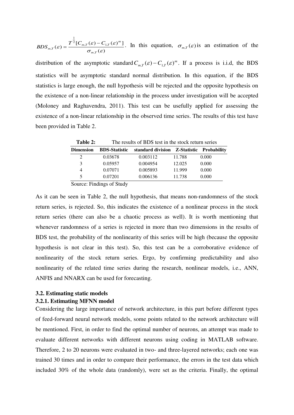$(\varepsilon)$  $\mathcal{L}(\varepsilon) = \frac{T^2 [C_{m,T}(\varepsilon) - C_{1,T}(\varepsilon)^m]}{(\varepsilon)}$ , <sup>2</sup>[ $C_{m,T}(\varepsilon)$  –  $C_{1,}$ 1  $\sigma_{\pi}(\varepsilon)$  =  $\sigma_{\pi}(\varepsilon)$  $\mathcal{E}$  =  $\frac{I^2[\mathcal{C}_{m,T}(\mathcal{E})-\mathcal{C}_{1,T}(\mathcal{E})]}{I}$  $m, T$  $T_{m,T}(\varepsilon) = \frac{T^{\frac{1}{2}}[C_{m,T}(\varepsilon) - C_{1,T}(\varepsilon)^{m}}{T_{m,T}(\varepsilon)}$  $BDS_{m,T}(\varepsilon) = \frac{T^2[C_{m,T}(\varepsilon) - C]}{T^2}$  $=\frac{T^{\frac{1}{2}}[C_{m,T}(\varepsilon)-C_{1,T}(\varepsilon)^{m}]}{T^{m}}$ . In this equation,  $\sigma_{m,T}(\varepsilon)$  is an estimation of the

distribution of the asymptotic standard  $C_{m,T}(\varepsilon) - C_{1,T}(\varepsilon)^m$ . If a process is i.i.d, the BDS statistics will be asymptotic standard normal distribution. In this equation, if the BDS statistics is large enough, the null hypothesis will be rejected and the opposite hypothesis on the existence of a non-linear relationship in the process under investigation will be accepted (Moloney and Raghavendra, 2011). This test can be usefully applied for assessing the existence of a non-linear relationship in the observed time series. The results of this test have been provided in Table 2.

| Table 2:         | The results of BDS test in the stock return series |                                           |        |       |
|------------------|----------------------------------------------------|-------------------------------------------|--------|-------|
| <b>Dimension</b> | <b>BDS-Statistic</b>                               | standard division Z-Statistic Probability |        |       |
| $\mathcal{L}$    | 0.03678                                            | 0.003112                                  | 11.788 | 0.000 |
| 3                | 0.05957                                            | 0.004954                                  | 12.025 | 0.000 |
| 4                | 0.07071                                            | 0.005893                                  | 11.999 | 0.000 |
|                  | 0.07201                                            | 0.006136                                  | 11.738 | 0.000 |

Source: Findings of Study

As it can be seen in Table 2, the null hypothesis, that means non-randomness of the stock return series, is rejected. So, this indicates the existence of a nonlinear process in the stock return series (there can also be a chaotic process as well). It is worth mentioning that whenever randomness of a series is rejected in more than two dimensions in the results of BDS test, the probability of the nonlinearity of this series will be high (because the opposite hypothesis is not clear in this test). So, this test can be a corroborative evidence of nonlinearity of the stock return series. Ergo, by confirming predictability and also nonlinearity of the related time series during the research, nonlinear models, i.e., ANN, ANFIS and NNARX can be used for forecasting.

## **3.2. Estimating static models**

#### **3.2.1. Estimating MFNN model**

Considering the large importance of network architecture, in this part before different types of feed-forward neural network models, some points related to the network architecture will be mentioned. First, in order to find the optimal number of neurons, an attempt was made to evaluate different networks with different neurons using coding in MATLAB software. Therefore, 2 to 20 neurons were evaluated in two- and three-layered networks; each one was trained 30 times and in order to compare their performance, the errors in the test data which included 30% of the whole data (randomly), were set as the criteria. Finally, the optimal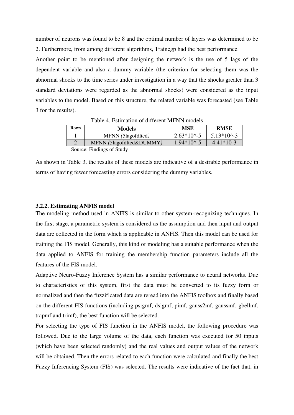number of neurons was found to be 8 and the optimal number of layers was determined to be 2. Furthermore, from among different algorithms, Traincgp had the best performance.

Another point to be mentioned after designing the network is the use of 5 lags of the dependent variable and also a dummy variable (the criterion for selecting them was the abnormal shocks to the time series under investigation in a way that the shocks greater than 3 standard deviations were regarded as the abnormal shocks) were considered as the input variables to the model. Based on this structure, the related variable was forecasted (see Table 3 for the results).

| <b>Rows</b>                | <b>Models</b>            | MSE             | <b>RMSE</b>     |
|----------------------------|--------------------------|-----------------|-----------------|
|                            | MFNN (51agofdIted)       | $2.63*10^{(-)}$ | $5.13*10^{(-)}$ |
|                            | MFNN (5lagofdlted&DUMMY) | 1.94*10^-5      | $4.41*10-3$     |
| Conneal Eindings of Conder |                          |                 |                 |

Table 4. Estimation of different MFNN models

Source: Findings of Study

As shown in Table 3, the results of these models are indicative of a desirable performance in terms of having fewer forecasting errors considering the dummy variables.

## **3.2.2. Estimating ANFIS model**

The modeling method used in ANFIS is similar to other system-recognizing techniques. In the first stage, a parametric system is considered as the assumption and then input and output data are collected in the form which is applicable in ANFIS. Then this model can be used for training the FIS model. Generally, this kind of modeling has a suitable performance when the data applied to ANFIS for training the membership function parameters include all the features of the FIS model.

Adaptive Neuro-Fuzzy Inference System has a similar performance to neural networks. Due to characteristics of this system, first the data must be converted to its fuzzy form or normalized and then the fuzzificated data are reread into the ANFIS toolbox and finally based on the different FIS functions (including psigmf, dsigmf, pimf, gauss2mf, gaussmf, gbellmf, trapmf and trimf), the best function will be selected.

For selecting the type of FIS function in the ANFIS model, the following procedure was followed. Due to the large volume of the data, each function was executed for 50 inputs (which have been selected randomly) and the real values and output values of the network will be obtained. Then the errors related to each function were calculated and finally the best Fuzzy Inferencing System (FIS) was selected. The results were indicative of the fact that, in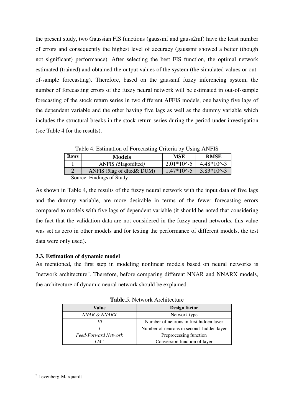the present study, two Gaussian FIS functions (gaussmf and gauss2mf) have the least number of errors and consequently the highest level of accuracy (gaussmf showed a better (though not significant) performance). After selecting the best FIS function, the optimal network estimated (trained) and obtained the output values of the system (the simulated values or outof-sample forecasting). Therefore, based on the gaussmf fuzzy inferencing system, the number of forecasting errors of the fuzzy neural network will be estimated in out-of-sample forecasting of the stock return series in two different AFFIS models, one having five lags of the dependent variable and the other having five lags as well as the dummy variable which includes the structural breaks in the stock return series during the period under investigation (see Table 4 for the results).

Table 4. Estimation of Forecasting Criteria by Using ANFIS

|                           | <b>Rows</b> | <b>Models</b>                | <b>MSE</b>      | <b>RMSE</b>     |
|---------------------------|-------------|------------------------------|-----------------|-----------------|
|                           |             | ANFIS (51agofd1ted)          | $2.01*10^{(-)}$ | $4.48*10^{(-)}$ |
|                           |             | ANFIS (5 lag of dited & DUM) | $1.47*10^{(-)}$ | $3.83*10^{(-)}$ |
| Source: Findings of Study |             |                              |                 |                 |

As shown in Table 4, the results of the fuzzy neural network with the input data of five lags and the dummy variable, are more desirable in terms of the fewer forecasting errors compared to models with five lags of dependent variable (it should be noted that considering the fact that the validation data are not considered in the fuzzy neural networks, this value was set as zero in other models and for testing the performance of different models, the test data were only used).

# **3.3. Estimation of dynamic model**

As mentioned, the first step in modeling nonlinear models based on neural networks is "network architecture". Therefore, before comparing different NNAR and NNARX models, the architecture of dynamic neural network should be explained.

| Value                | Design factor                            |  |
|----------------------|------------------------------------------|--|
| NNAR & NNARX         | Network type                             |  |
| 10                   | Number of neurons in first hidden layer  |  |
|                      | Number of neurons in second hidden layer |  |
| Feed-Forward Network | Preprocessing function                   |  |
|                      | Conversion function of layer             |  |

**Table**.5. Network Architecture

 $\overline{a}$ 

<sup>2</sup> Levenberg-Marquardt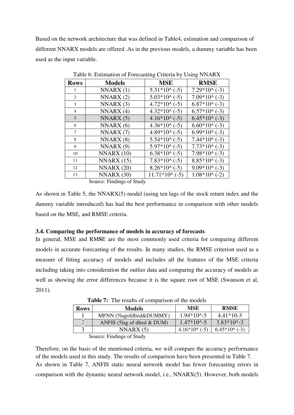Based on the network architecture that was defined in Table4, estimation and comparison of different NNARX models are offered .As in the previous models, a dummy variable has been used as the input variable.

| <b>Rows</b>    | <b>Models</b>        | <b>MSE</b>             | <b>RMSE</b>            |
|----------------|----------------------|------------------------|------------------------|
| 1              | NNARX(1)             | $5.31*10(6-5)$         | $7.29*10(4.3)$         |
| 2              | NNARX(2)             | $5.03*10^{\circ}$ (-5) | $7.09*10(4.3)$         |
| 3              | NNARX(3)             | $4.72*10(6-5)$         | $6.87*10(4.3)$         |
| $\overline{4}$ | NNARX(4)             | $4.32*10(6-5)$         | $6.57*10(4.3)$         |
| 5              | NNARX(5)             | $4.16*10(6-5)$         | $6.45*10(4.3)$         |
| 6              | NNARX $(6)$          | $4.36*10(6-5)$         | $6.60*10^{\circ}$ (-3) |
| 7              | NNARX (7)            | 4.89*10 $($ -5)        | $6.99*10(4.3)$         |
| 8              | NNARX (8)            | $5.54*10(6-5)$         | $7.44*10( -3)$         |
| 9              | NNARX <sub>(9)</sub> | $5.97*10(6-5)$         | $7.73*10( -3)$         |
| 10             | NNARX(10)            | $6.38*10^{\circ}$ (-5) | $7.98*10(4.3)$         |
| 11             | NNARX(15)            | $7.83*10(6-5)$         | $8.85*10(4.3)$         |
| 12             | NNARX (20)           | $8.26*10(6-5)$         | $9.09*10(4.3)$         |
| 13             | NNARX (30)           | $11.71*10( -5)$        | $1.08*10(4)$ (-2)      |

Table 6: Estimation of Forecasting Criteria by Using NNARX

Source: Findings of Study

As shown in Table 5, the NNARX(5) model (using ten lags of the stock return index and the dummy variable introduced) has had the best performance in comparison with other models based on the MSE, and RMSE criteria.

# **3.4. Comparing the performance of models in accuracy of forecasts**

In general, MSE and RM**S**E are the most commonly used criteria for comparing different models in accurate forecasting of the results. In many studies, the RMSE criterion used as a measure of fitting accuracy of models and includes all the features of the MSE criteria including taking into consideration the outlier data and comparing the accuracy of models as well as showing the error differences because it is the square root of MSE (Swanson et al, 2011).

| <b>Rows</b>                                | <b>Models</b>                  | <b>MSE</b>      | <b>RMSE</b>     |  |
|--------------------------------------------|--------------------------------|-----------------|-----------------|--|
|                                            | MFNN (51agofdlted&DUMMY)       | $1.94*10^{(-)}$ | $4.41*10-3$     |  |
|                                            | ANFIS (5lag of dited $\&$ DUM) | $1.47*10^{(-)}$ | $3.83*10^{(-)}$ |  |
|                                            | NNARX(5)                       | $4.16*10(6-5)$  | $6.45*10(4.3)$  |  |
| $\sim$ $\Gamma$ $\Gamma$ $\Omega$ $\Gamma$ |                                |                 |                 |  |

**Table 7:** The results of comparison of the models

Source: Findings of Study

Therefore, on the basis of the mentioned criteria, we will compare the accuracy performance of the models used in this study. The results of comparison have been presented in Table 7. As shown in Table 7, ANFIS static neural network model has fewer forecasting errors in comparison with the dynamic neural network model, i.e., NNARX(5). However, both models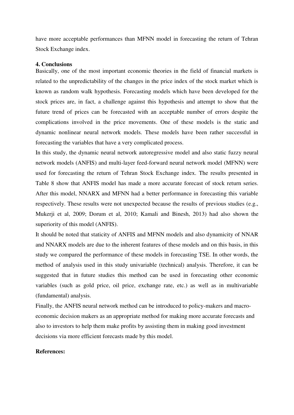have more acceptable performances than MFNN model in forecasting the return of Tehran Stock Exchange index.

## **4. Conclusions**

Basically, one of the most important economic theories in the field of financial markets is related to the unpredictability of the changes in the price index of the stock market which is known as random walk hypothesis. Forecasting models which have been developed for the stock prices are, in fact, a challenge against this hypothesis and attempt to show that the future trend of prices can be forecasted with an acceptable number of errors despite the complications involved in the price movements. One of these models is the static and dynamic nonlinear neural network models. These models have been rather successful in forecasting the variables that have a very complicated process.

In this study, the dynamic neural network autoregressive model and also static fuzzy neural network models (ANFIS) and multi-layer feed-forward neural network model (MFNN) were used for forecasting the return of Tehran Stock Exchange index. The results presented in Table 8 show that ANFIS model has made a more accurate forecast of stock return series. After this model, NNARX and MFNN had a better performance in forecasting this variable respectively. These results were not unexpected because the results of previous studies (e.g., Mukerji et al, 2009; Dorum et al, 2010; [Kamali](http://link.springer.com/search?facet-author=%22R.+Kamali%22) and [Binesh,](http://link.springer.com/search?facet-author=%22A.+R.+Binesh%22) 2013) had also shown the superiority of this model (ANFIS).

It should be noted that staticity of ANFIS and MFNN models and also dynamicity of NNAR and NNARX models are due to the inherent features of these models and on this basis, in this study we compared the performance of these models in forecasting TSE. In other words, the method of analysis used in this study univariable (technical) analysis. Therefore, it can be suggested that in future studies this method can be used in forecasting other economic variables (such as gold price, oil price, exchange rate, etc.) as well as in multivariable (fundamental) analysis.

Finally, the ANFIS neural network method can be introduced to policy-makers and macroeconomic decision makers as an appropriate method for making more accurate forecasts and also to investors to help them make profits by assisting them in making good investment decisions via more efficient forecasts made by this model.

#### **References:**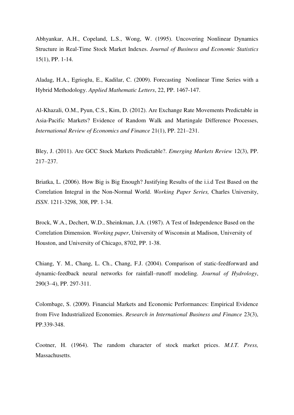Abhyankar, A.H., Copeland, L.S., Wong, W. (1995). Uncovering Nonlinear Dynamics Structure in Real-Time Stock Market Indexes. *Journal of Business and Economic Statistics* 15(1), PP. 1-14.

Aladag, H.A., Egrioglu, E., Kadilar, C. (2009). [Forecasting Nonlinear Time Series with a](http://www.sciencedirect.com/science/article/pii/S0893965909001475)  [Hybrid Methodology.](http://www.sciencedirect.com/science/article/pii/S0893965909001475) *Applied Mathematic Letters*, 22, PP. 1467-147.

Al-Khazali, O.M., Pyun, C.S., Kim, D. (2012). Are Exchange Rate Movements Predictable in Asia-Pacific Markets? Evidence of Random Walk and Martingale Difference Processes, *International Review of Economics and Finance* 21(1), PP. 221–231.

Bley, J. (2011). Are GCC Stock Markets Predictable?. *Emerging Markets Review* 12(3), PP. 217–237.

Briatka, L. (2006). How Big is Big Enough? Justifying Results of the i.i.d Test Based on the Correlation Integral in the Non-Normal World. *Working Paper Series,* Charles University, *ISSN*. 1211-3298, 308, PP. 1-34.

Brock, W.A., Dechert, W.D., Sheinkman, J.A. (1987). A Test of Independence Based on the Correlation Dimension. *Working paper*, University of Wisconsin at Madison, University of Houston, and University of Chicago, 8702, PP. 1-38.

Chiang, Y. M., Chang, L. Ch., Chang, F.J. (2004). [Comparison of static-feedforward and](http://www.sciencedirect.com/science/article/pii/S0022169403005043)  [dynamic-feedback neural networks for rainfall](http://www.sciencedirect.com/science/article/pii/S0022169403005043)–runoff modeling. *Journal of Hydrology*, 290(3–4), PP. 297-311.

Colombage, S. (2009). [Financial Markets and Economic Performances: Empirical Evidence](http://www.sciencedirect.com/science/article/pii/S0275531908000603)  [from Five Industrialized Economies.](http://www.sciencedirect.com/science/article/pii/S0275531908000603) *Research in International Business and Finance* 23(3), PP.339-348.

Cootner, H. (1964). [The random character of stock market prices.](http://books.google.com/?id=7XGvQgAACAAJ) *M.I.T. Press,*  [Massachusetts.](http://en.wikipedia.org/wiki/Cambridge,_Massachusetts)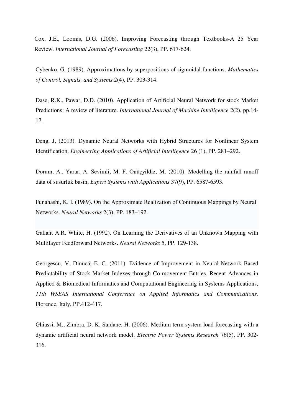Cox, J.E., Loomis, D.G. (2006). [Improving Forecasting through Textbooks-A 25 Year](http://www.sciencedirect.com/science/article/pii/S0169207005001299)  [Review.](http://www.sciencedirect.com/science/article/pii/S0169207005001299) *International Journal of Forecasting* 22(3), PP. 617-624.

Cybenko, G. (1989). [Approximations by superpositions of sigmoidal functions.](http://actcomm.dartmouth.edu/gvc/papers/approx_by_superposition.pdf) *[Mathematics](http://en.wikipedia.org/wiki/Mathematics_of_Control,_Signals,_and_Systems)  [of Control, Signals, and Systems](http://en.wikipedia.org/wiki/Mathematics_of_Control,_Signals,_and_Systems)* 2(4), PP. 303-314.

Dase, R.K., Pawar, D.D. (2010). Application of Artificial Neural Network for stock Market Predictions: A review of literature. *International Journal of Machine Intelligence* 2(2), pp.14- 17.

Deng, [J.](http://www.sciencedirect.com/science/article/pii/S0952197612000991) (2013). Dynamic Neural Networks with Hybrid Structures for Nonlinear System Identification. *Engineering Applications of Artificial Intelligence* 26 (1), PP. 281–292.

Dorum, A., Yarar, A. Sevimli, M. F. Onüçyildiz, M. (2010). Modelling the rainfall-runoff data of susurluk basin, *Expert Systems with Applications* 37(9), PP. 6587-6593.

Funahashi, [K. I.](http://www.sciencedirect.com/science/article/pii/0893608089900038) (1989). On the Approximate Realization of Continuous Mappings by Neural Networks. *[Neural Networks](http://www.sciencedirect.com/science/journal/08936080)* [2\(3\)](http://www.sciencedirect.com/science/journal/08936080/2/3), PP. 183–192.

Gallant A.R. White, H. (1992). On Learning the Derivatives of an Unknown Mapping with Multilayer Feedforward Networks. *Neural Networks* 5, PP. 129-138.

Georgescu, V. Dinucă, E. C. (2011). Evidence of Improvement in Neural-Network Based Predictability of Stock Market Indexes through Co-movement Entries. Recent Advances in Applied & Biomedical Informatics and Computational Engineering in Systems Applications, *11th WSEAS International Conference on Applied Informatics and Communications,* Florence, Italy, PP.412-417.

Ghiassi, M., Zimbra, D. K. Saidane, H. (2006). Medium term system load forecasting with a dynamic artificial neural network model. *Electric Power Systems Research* 76(5), PP. 302- 316.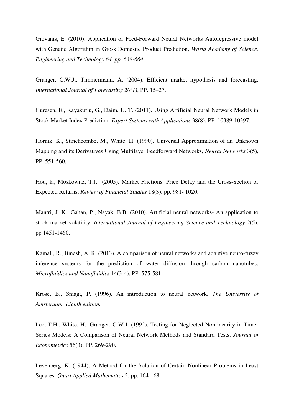Giovanis, E. (2010). [Application of Feed-Forward Neural Networks Autoregressive model](https://www.google.com/url?sa=t&rct=j&q=&esrc=s&source=web&cd=6&cad=rja&ved=0CGsQFjAF&url=https%3A%2F%2Fwww.waset.org%2Fjournals%2Fwaset%2Fv40%2Fv40-121.pdf&ei=FhDfUJa9IYaA2gXv9IGQDw&usg=AFQjCNH7Hf1fxumJX2qL3lvmQ7go3upjsg&sig2=usZ_PUkvXT8Y8dTYrqcOdg&bvm=bv.1355534169,d.b2I)  [with Genetic Algorithm in Gross Domestic Product Prediction,](https://www.google.com/url?sa=t&rct=j&q=&esrc=s&source=web&cd=6&cad=rja&ved=0CGsQFjAF&url=https%3A%2F%2Fwww.waset.org%2Fjournals%2Fwaset%2Fv40%2Fv40-121.pdf&ei=FhDfUJa9IYaA2gXv9IGQDw&usg=AFQjCNH7Hf1fxumJX2qL3lvmQ7go3upjsg&sig2=usZ_PUkvXT8Y8dTYrqcOdg&bvm=bv.1355534169,d.b2I) *World Academy of Science, Engineering and Technology 64. pp. 638-664.*

Granger, C.W.J., Timmermann, A. (2004). Efficient market hypothesis and forecasting. *International Journal of Forecasting 20(1)*, PP. 15–27.

Guresen, E., Kayakutlu, G., Daim, U. T. (2011). Using Artificial Neural Network Models in Stock Market Index Prediction. *Expert Systems with Applications* 38(8), PP. 10389-10397.

Hornik, K., Stinchcombe, M., White, H. (1990). Universal Approximation of an Unknown Mapping and its Derivatives Using Multilayer Feedforward Networks, *Neural Networks* 3(5), PP. 551-560.

Hou, k., Moskowitz, T.J. (2005). Market Frictions, Price Delay and the Cross-Section of Expected Returns, *Review of Financial Studies* 18(3), pp. 981- 1020.

Mantri, J. K., Gahan, P., Nayak, B.B. (2010). Artificial neural networks- An application to stock market volatility. *International Journal of Engineering Science and Technology* 2(5), pp 1451-1460.

[Kamali,](http://link.springer.com/search?facet-author=%22R.+Kamali%22) R., Binesh, A. [R. \(](http://link.springer.com/search?facet-author=%22A.+R.+Binesh%22)2013). A comparison of neural networks and adaptive neuro-fuzzy inference systems for the prediction of water diffusion through carbon nanotubes. *[Microfluidics and Nanofluidics](http://link.springer.com/journal/10404)* 14(3-4), PP. 575-581.

Krose, B., Smagt, P. (1996). An introduction to neural network. *The University of Amsterdam. Eighth edition.*

Lee, T.H., White, H., Granger, C.W.J. (1992). Testing for Neglected Nonlinearity in Time-Series Models: A Comparison of Neural Network Methods and Standard Tests. *Journal of Econometrics* 56(3), PP. 269-290.

Levenberg, K. (1944). A Method for the Solution of Certain Nonlinear Problems in Least Squares. *Quart Applied Mathematics* 2, pp. 164-168.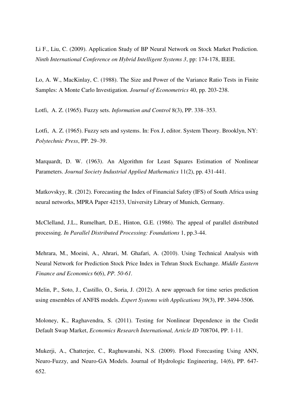Li F., Liu, C. (2009). Application Study of BP Neural Network on Stock Market Prediction. *Ninth International Conference on Hybrid Intelligent Systems 3*, pp: 174-178, IEEE.

Lo, A. W., MacKinlay, C. (1988). The Size and Power of the Variance Ratio Tests in Finite Samples: A Monte Carlo Investigation. *Journal of Econometrics* 40, pp. 203-238.

Lotfi, A. Z. (1965). Fuzzy sets. *Information and Control* 8(3), PP. 338–353.

Lotfi, A. Z. (1965). Fuzzy sets and systems. In: Fox J, editor. System Theory. Brooklyn, NY: *Polytechnic Press*, PP. 29–39.

Marquardt, D. W. (1963). An Algorithm for Least Squares Estimation of Nonlinear Parameters. *Journal Society Industrial Applied Mathematics* 11(2), pp. 431-441.

Matkovskyy, R. (2012). Forecasting the Index of Financial Safety (IFS) of South Africa using neural networks, MPRA Paper 42153, University Library of Munich, Germany.

McClelland, J.L., Rumelhart, D.E., Hinton, G.E. (1986). The appeal of parallel distributed processing. *In Parallel Distributed Processing: Foundations* 1, pp.3-44.

Mehrara, M., Moeini, A., Ahrari, M. Ghafari, A. (2010). Using Technical Analysis with Neural Network for Prediction Stock Price Index in Tehran Stock Exchange. *Middle Eastern Finance and Economics* 6(6), *PP. 50-61.*

Melin, P., Soto, J., Castillo, O., Soria, J. (2012). [A new approach for time series prediction](http://www.sciencedirect.com/science/article/pii/S0957417411013492)  [using ensembles of ANFIS models.](http://www.sciencedirect.com/science/article/pii/S0957417411013492) *Expert Systems with Applications* 39(3), PP. 3494-3506.

Moloney, K., Raghavendra, S. (2011). Testing for Nonlinear Dependence in the Credit Default Swap Market, *Economics Research International, Article ID* 708704, PP. 1-11.

Mukerji, A., Chatterjee, C., Raghuwanshi, N.S. (2009). Flood Forecasting Using ANN, Neuro-Fuzzy, and Neuro-GA Models. [Journal of Hydrologic Engineering,](http://cedb.asce.org/cgi/WWWdisplay.cgi?168573) 14(6), PP. 647- 652.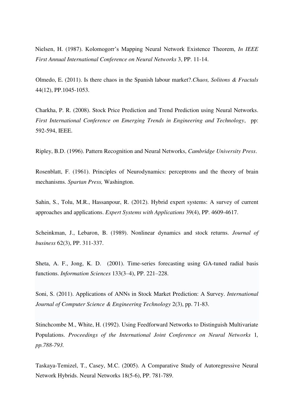Nielsen, H. (1987). Kolomogorr's Mapping Neural Network Existence Theorem, *In IEEE First Annual International Conference on Neural Networks* 3, PP. 11-14.

Olmedo, E. (2011). Is there chaos in the Spanish labour market?.*Chaos, Solitons & Fractals* 44(12), PP.1045-1053.

Charkha, P. R. (2008). Stock Price Prediction and Trend Prediction using Neural Networks. *First International Conference on Emerging Trends in Engineering and Technology*, pp: 592-594, IEEE.

Ripley, B.D. (1996). Pattern Recognition and Neural Networks, *Cambridge University Press*.

Rosenblatt, F. (1961). Principles of Neurodynamics: perceptrons and the theory of brain mechanisms. *Spartan Press,* Washington.

Sahin, S., Tolu, M.R., Hassanpour, R. (2012). [Hybrid expert systems: A survey of current](http://www.sciencedirect.com/science/article/pii/S0957417411012619)  [approaches and applications.](http://www.sciencedirect.com/science/article/pii/S0957417411012619) *Expert Systems with Applications* 39(4), PP. 4609-4617.

Scheinkman, J., Lebaron, B. (1989). Nonlinear dynamics and stock returns. *Journal of business* 62(3), PP. 311-337.

Sheta, [A. F.,](http://www.sciencedirect.com/science/article/pii/S002002550100086X) Jong, K. D. [\(2001\). Time-series forecasting using GA-tuned radial basis](http://www.sciencedirect.com/science/article/pii/S002002550100086X)  functions. *[Information Sciences](http://www.sciencedirect.com/science/article/pii/S002002550100086X)* [133\(3](http://www.sciencedirect.com/science/journal/00200255/133/3)–4), PP. 221–228.

[Soni, S. \(2011\). Applications of ANNs in Stock Market Prediction: A Survey.](http://www.sciencedirect.com/science/article/pii/S002002550100086X) *International [Journal of Computer Science & Engineering Technology](http://www.sciencedirect.com/science/article/pii/S002002550100086X)* 2(3), pp. 71-83.

[Stinchcombe M., White, H. \(1992\). Using Feedforward Networks to Distinguish Multivariate](http://www.sciencedirect.com/science/article/pii/S002002550100086X)  Populations. *[Proceedings of the International Joint Conference on Neural Networks](http://www.sciencedirect.com/science/article/pii/S002002550100086X)* 1*, [pp.788-793.](http://www.sciencedirect.com/science/article/pii/S002002550100086X)*

Taskaya-Temizel, T., Casey, M.C. (2005). A Comparative Study of Autoregressive Neural Network Hybrids. Neural Networks 18(5-6), PP. 781-789.